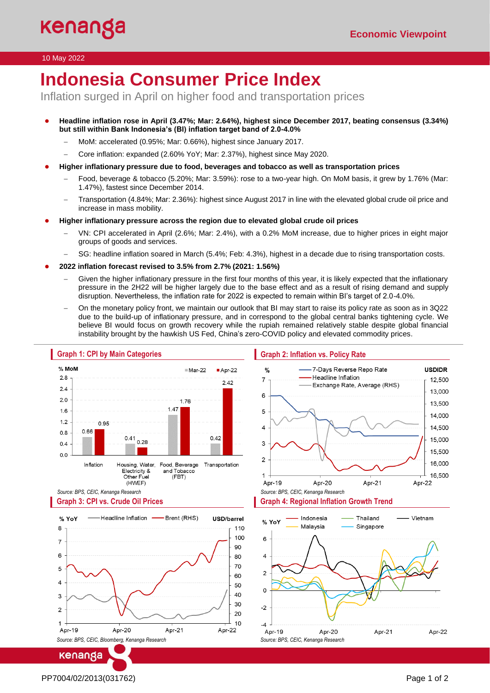#### 10 May 2022

# **Indonesia Consumer Price Index**

Inflation surged in April on higher food and transportation prices

- **Headline inflation rose in April (3.47%; Mar: 2.64%), highest since December 2017, beating consensus (3.34%) but still within Bank Indonesia's (BI) inflation target band of 2.0-4.0%** 
	- − MoM: accelerated (0.95%; Mar: 0.66%), highest since January 2017.
	- − Core inflation: expanded (2.60% YoY; Mar: 2.37%), highest since May 2020.
- **Higher inflationary pressure due to food, beverages and tobacco as well as transportation prices** 
	- − Food, beverage & tobacco (5.20%; Mar: 3.59%): rose to a two-year high. On MoM basis, it grew by 1.76% (Mar: 1.47%), fastest since December 2014.
	- − Transportation (4.84%; Mar: 2.36%): highest since August 2017 in line with the elevated global crude oil price and increase in mass mobility.
- **Higher inflationary pressure across the region due to elevated global crude oil prices**
	- − VN: CPI accelerated in April (2.6%; Mar: 2.4%), with a 0.2% MoM increase, due to higher prices in eight major groups of goods and services.
	- − SG: headline inflation soared in March (5.4%; Feb: 4.3%), highest in a decade due to rising transportation costs.
- **2022 inflation forecast revised to 3.5% from 2.7% (2021: 1.56%)**
	- Given the higher inflationary pressure in the first four months of this year, it is likely expected that the inflationary pressure in the 2H22 will be higher largely due to the base effect and as a result of rising demand and supply disruption. Nevertheless, the inflation rate for 2022 is expected to remain within BI's target of 2.0-4.0%.
	- − On the monetary policy front, we maintain our outlook that BI may start to raise its policy rate as soon as in 3Q22 due to the build-up of inflationary pressure, and in correspond to the global central banks tightening cycle. We believe BI would focus on growth recovery while the rupiah remained relatively stable despite global financial instability brought by the hawkish US Fed, China's zero-COVID policy and elevated commodity prices.



*Source: BPS, CEIC, Kenanga Research*

*Source: BPS, CEIC, Bloomberg, Kenanga Research*

kenanga